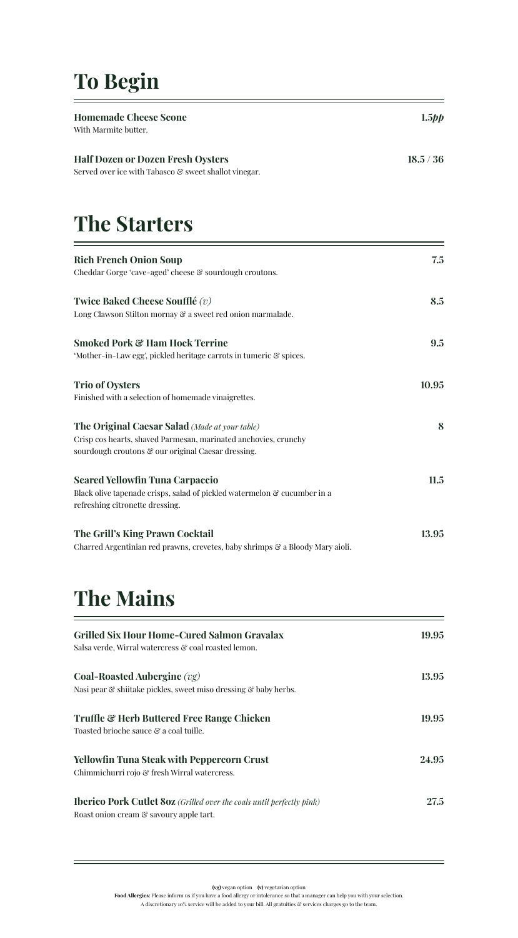# **To Begin**

| <b>Homemade Cheese Scone</b><br>With Marmite butter.                                                                                                                    | $1.5$ pp  |
|-------------------------------------------------------------------------------------------------------------------------------------------------------------------------|-----------|
| <b>Half Dozen or Dozen Fresh Oysters</b><br>Served over ice with Tabasco & sweet shallot vinegar.                                                                       | 18.5 / 36 |
| <b>The Starters</b>                                                                                                                                                     |           |
| <b>Rich French Onion Soup</b><br>Cheddar Gorge 'cave-aged' cheese & sourdough croutons.                                                                                 | 7.5       |
| Twice Baked Cheese Soufflé $(v)$<br>Long Clawson Stilton mornay & a sweet red onion marmalade.                                                                          | 8.5       |
| <b>Smoked Pork &amp; Ham Hock Terrine</b><br>'Mother-in-Law egg', pickled heritage carrots in tumeric & spices.                                                         | 9.5       |
| <b>Trio of Oysters</b><br>Finished with a selection of homemade vinaigrettes.                                                                                           | 10.95     |
| The Original Caesar Salad (Made at your table)<br>Crisp cos hearts, shaved Parmesan, marinated anchovies, crunchy<br>sourdough croutons & our original Caesar dressing. | 8         |
| <b>Seared Yellowfin Tuna Carpaccio</b><br>Black olive tapenade crisps, salad of pickled watermelon & cucumber in a<br>refreshing citronette dressing.                   | 11.5      |
| The Grill's King Prawn Cocktail<br>Charred Argentinian red prawns, crevetes, baby shrimps & a Bloody Mary aioli.                                                        | 13.95     |

# **The Mains**

| <b>Grilled Six Hour Home-Cured Salmon Gravalax</b><br>Salsa verde, Wirral watercress & coal roasted lemon.              | 19.95 |
|-------------------------------------------------------------------------------------------------------------------------|-------|
| Coal-Roasted Aubergine $(vg)$<br>Nasi pear & shiitake pickles, sweet miso dressing & baby herbs.                        | 13.95 |
| <b>Truffle &amp; Herb Buttered Free Range Chicken</b><br>Toasted brioche sauce & a coal tuille.                         | 19.95 |
| Yellowfin Tuna Steak with Peppercorn Crust<br>Chimmichurri rojo & fresh Wirral watercress.                              | 24.95 |
| <b>Iberico Pork Cutlet 80z</b> (Grilled over the coals until perfectly pink)<br>Roast onion cream & savoury apple tart. | 27.5  |

**(vg)** vegan option **(v)** vegetarian option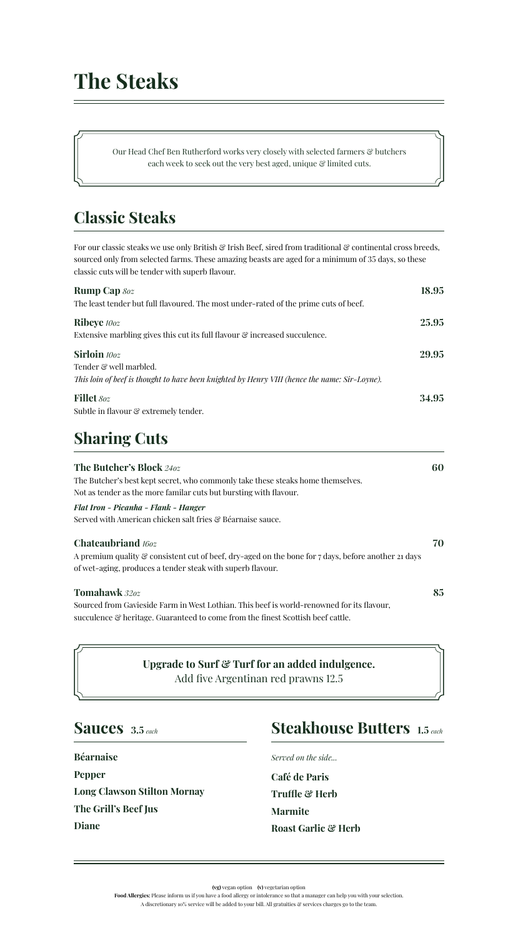Our Head Chef Ben Rutherford works very closely with selected farmers & butchers each week to seek out the very best aged, unique  $\mathcal C$  limited cuts.

## **Classic Steaks**

For our classic steaks we use only British & Irish Beef, sired from traditional & continental cross breeds, sourced only from selected farms. These amazing beasts are aged for a minimum of 35 days, so these classic cuts will be tender with superb flavour.

| <b>Rump Cap 80z</b>                                                                           | 18.95 |
|-----------------------------------------------------------------------------------------------|-------|
| The least tender but full flavoured. The most under-rated of the prime cuts of beef.          |       |
| <b>Ribeye</b> 100z                                                                            | 25.95 |
| Extensive marbling gives this cut its full flavour & increased succulence.                    |       |
| Sirloin 100z                                                                                  | 29.95 |
| Tender & well marbled.                                                                        |       |
| This loin of beef is thought to have been knighted by Henry VIII (hence the name: Sir-Loyne). |       |
| <b>Fillet</b> 80z                                                                             | 34.95 |
| Subtle in flavour & extremely tender.                                                         |       |

## **Sharing Cuts**

| <b>The Butcher's Block 240z</b>                                                                                                                                                                           | 60 |
|-----------------------------------------------------------------------------------------------------------------------------------------------------------------------------------------------------------|----|
| The Butcher's best kept secret, who commonly take these steaks home themselves.                                                                                                                           |    |
| Not as tender as the more familar cuts but bursting with flavour.                                                                                                                                         |    |
| Flat Iron - Picanha - Flank - Hanger                                                                                                                                                                      |    |
| Served with American chicken salt fries & Béarnaise sauce.                                                                                                                                                |    |
| <b>Chateaubriand</b> 160z<br>A premium quality $\mathcal G$ consistent cut of beef, dry-aged on the bone for 7 days, before another 21 days<br>of wet-aging, produces a tender steak with superb flavour. | 70 |
| <b>Tomahawk</b> 320z                                                                                                                                                                                      | 85 |
| Sourced from Gavieside Farm in West Lothian. This beef is world-renowned for its flavour,<br>succulence & heritage. Guaranteed to come from the finest Scottish beef cattle.                              |    |

### **Upgrade to Surf & Turf for an added indulgence.** Add five Argentinan red prawns 12.5

### **Sauces 3.5** *each*

**Béarnaise Pepper Long Clawson Stilton Mornay The Grill's Beef Jus Diane**

## **Steakhouse Butters 1.5** *each*

**Café de Paris Truffle & Herb Marmite Roast Garlic & Herb**

*Served on the side...*

**(vg)** vegan option **(v)** vegetarian option

**Food Allergies:** Please inform us if you have a food allergy or intolerance so that a manager can help you with your selection. A discretionary 10% service will be added to your bill. All gratuities  $\mathcal C$  services charges go to the team.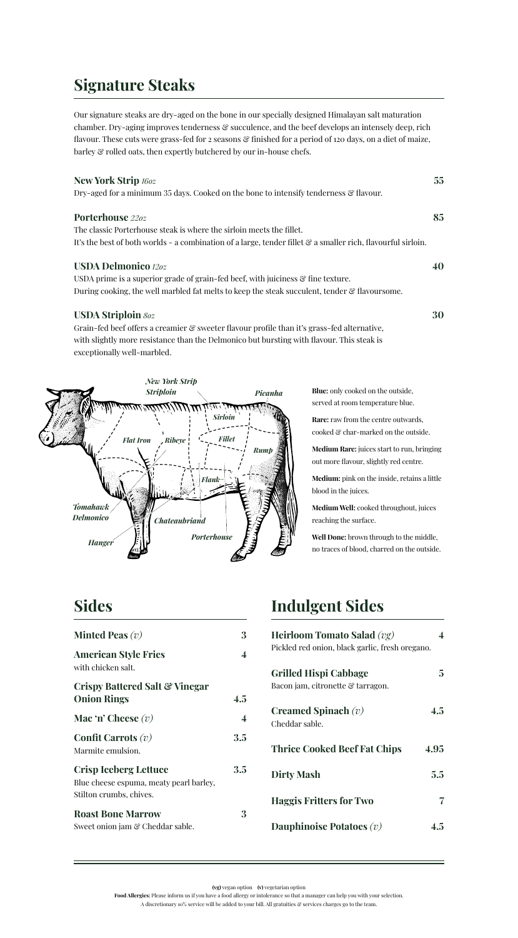## **Signature Steaks**

Our signature steaks are dry-aged on the bone in our specially designed Himalayan salt maturation chamber. Dry-aging improves tenderness  $\mathcal{C}$  succulence, and the beef develops an intensely deep, rich flavour. These cuts were grass-fed for 2 seasons & finished for a period of 120 days, on a diet of maize, barley & rolled oats, then expertly butchered by our in-house chefs.

#### **New York Strip** *16oz* **55**

Dry-aged for a minimum 35 days. Cooked on the bone to intensify tenderness & flavour.

#### **Porterhouse** *22oz* **85**

The classic Porterhouse steak is where the sirloin meets the fillet. It's the best of both worlds - a combination of a large, tender fillet  $\mathcal{C}$  a smaller rich, flavourful sirloin.

#### **USDA Delmonico** *12oz* **40**

USDA prime is a superior grade of grain-fed beef, with juiciness  $\mathcal{C}$  fine texture. During cooking, the well marbled fat melts to keep the steak succulent, tender  $\mathcal G$  flavoursome.

#### **USDA Striploin** *8oz* **30**

Grain-fed beef offers a creamier & sweeter flavour profile than it's grass-fed alternative, with slightly more resistance than the Delmonico but bursting with flavour. This steak is exceptionally well-marbled.



**Blue:** only cooked on the outside, served at room temperature blue.

**Rare:** raw from the centre outwards, cooked & char-marked on the outside.

**Medium Rare:** juices start to run, bringing out more flavour, slightly red centre.

**Medium:** pink on the inside, retains a little blood in the juices.

**Medium Well:** cooked throughout, juices reaching the surface.

**Well Done:** brown through to the middle, no traces of blood, charred on the outside.

### **Sides**

| <b>Minted Peas</b> $(v)$                                                                           | 3   |
|----------------------------------------------------------------------------------------------------|-----|
| <b>American Style Fries</b><br>with chicken salt.                                                  | 4   |
| Crispy Battered Salt & Vinegar<br><b>Onion Rings</b>                                               | 4.5 |
| Mac 'n' Cheese $(v)$                                                                               | 4   |
| Confit Carrots $(v)$<br>Marmite emulsion.                                                          | 3.5 |
| <b>Crisp Iceberg Lettuce</b><br>Blue cheese espuma, meaty pearl barley,<br>Stilton crumbs, chives. | 3.5 |
| <b>Roast Bone Marrow</b><br>Sweet onion jam & Cheddar sable.                                       | 3   |

### **Indulgent Sides**

| <b>Heirloom Tomato Salad</b> $(vg)$<br>Pickled red onion, black garlic, fresh oregano. |         |
|----------------------------------------------------------------------------------------|---------|
| <b>Grilled Hispi Cabbage</b><br>Bacon jam, citronette & tarragon.                      | 5       |
| Creamed Spinach $(v)$<br>Cheddar sable.                                                | 4.5     |
| <b>Thrice Cooked Beef Fat Chips</b>                                                    | 4.95    |
| <b>Dirty Mash</b>                                                                      | $5.5\,$ |
| <b>Haggis Fritters for Two</b>                                                         |         |
| Dauphinoise Potatoes $(v)$                                                             | 4.5     |

**(vg)** vegan option **(v)** vegetarian option

**Food Allergies:** Please inform us if you have a food allergy or intolerance so that a manager can help you with your selection. A discretionary 10% service will be added to your bill. All gratuities & services charges go to the team.